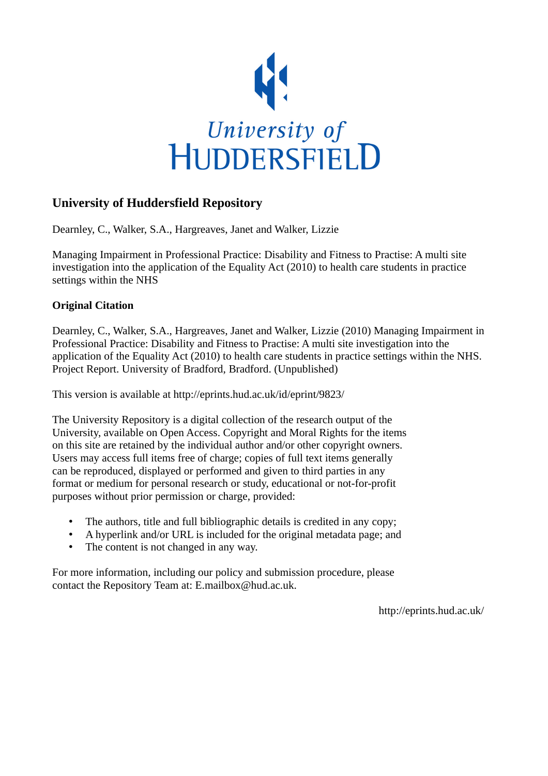

## **University of Huddersfield Repository**

Dearnley, C., Walker, S.A., Hargreaves, Janet and Walker, Lizzie

Managing Impairment in Professional Practice: Disability and Fitness to Practise: A multi site investigation into the application of the Equality Act (2010) to health care students in practice settings within the NHS

#### **Original Citation**

Dearnley, C., Walker, S.A., Hargreaves, Janet and Walker, Lizzie (2010) Managing Impairment in Professional Practice: Disability and Fitness to Practise: A multi site investigation into the application of the Equality Act (2010) to health care students in practice settings within the NHS. Project Report. University of Bradford, Bradford. (Unpublished)

This version is available at http://eprints.hud.ac.uk/id/eprint/9823/

The University Repository is a digital collection of the research output of the University, available on Open Access. Copyright and Moral Rights for the items on this site are retained by the individual author and/or other copyright owners. Users may access full items free of charge; copies of full text items generally can be reproduced, displayed or performed and given to third parties in any format or medium for personal research or study, educational or not-for-profit purposes without prior permission or charge, provided:

- The authors, title and full bibliographic details is credited in any copy;
- A hyperlink and/or URL is included for the original metadata page; and
- The content is not changed in any way.

For more information, including our policy and submission procedure, please contact the Repository Team at: E.mailbox@hud.ac.uk.

http://eprints.hud.ac.uk/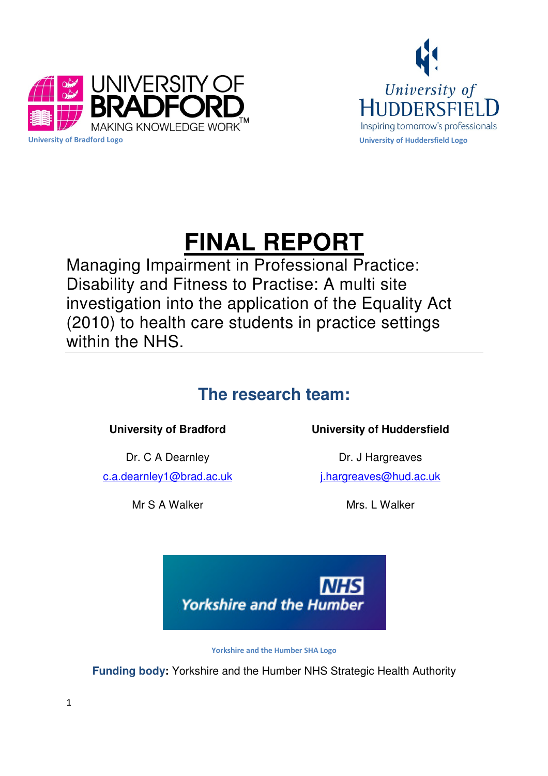



# **FINAL REPORT**

Managing Impairment in Professional Practice: Disability and Fitness to Practise: A multi site investigation into the application of the Equality Act (2010) to health care students in practice settings within the NHS.

## **The research team:**

Dr. C A Dearnley c.a.dearnley1@brad.ac.uk

Mr S A Walker

## **University of Bradford University of Huddersfield**

Dr. J Hargreaves j.hargreaves@hud.ac.uk

Mrs. I Walker

![](_page_1_Picture_11.jpeg)

Yorkshire and the Humber SHA Logo

**Funding body:** Yorkshire and the Humber NHS Strategic Health Authority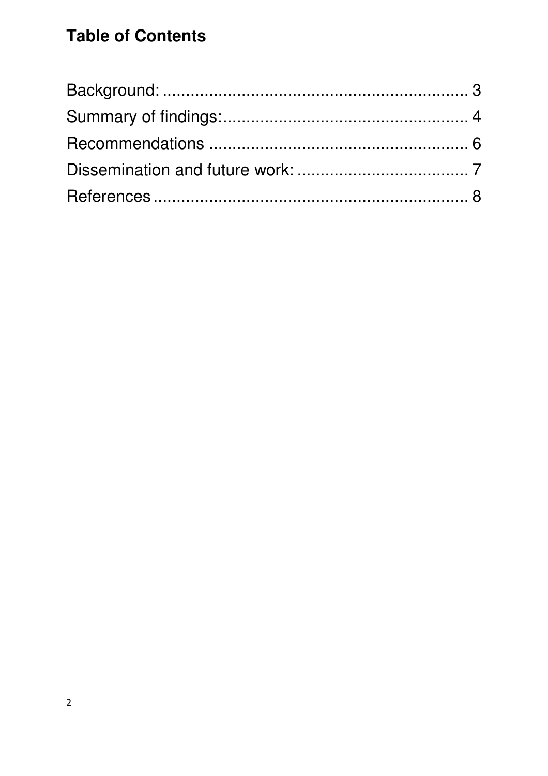## **Table of Contents**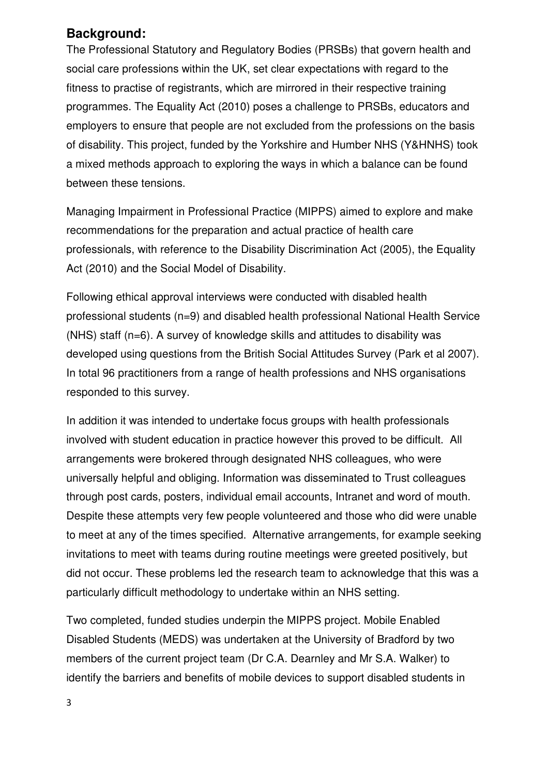## **Background:**

The Professional Statutory and Regulatory Bodies (PRSBs) that govern health and social care professions within the UK, set clear expectations with regard to the fitness to practise of registrants, which are mirrored in their respective training programmes. The Equality Act (2010) poses a challenge to PRSBs, educators and employers to ensure that people are not excluded from the professions on the basis of disability. This project, funded by the Yorkshire and Humber NHS (Y&HNHS) took a mixed methods approach to exploring the ways in which a balance can be found between these tensions.

Managing Impairment in Professional Practice (MIPPS) aimed to explore and make recommendations for the preparation and actual practice of health care professionals, with reference to the Disability Discrimination Act (2005), the Equality Act (2010) and the Social Model of Disability.

Following ethical approval interviews were conducted with disabled health professional students (n=9) and disabled health professional National Health Service (NHS) staff (n=6). A survey of knowledge skills and attitudes to disability was developed using questions from the British Social Attitudes Survey (Park et al 2007). In total 96 practitioners from a range of health professions and NHS organisations responded to this survey.

In addition it was intended to undertake focus groups with health professionals involved with student education in practice however this proved to be difficult. All arrangements were brokered through designated NHS colleagues, who were universally helpful and obliging. Information was disseminated to Trust colleagues through post cards, posters, individual email accounts, Intranet and word of mouth. Despite these attempts very few people volunteered and those who did were unable to meet at any of the times specified. Alternative arrangements, for example seeking invitations to meet with teams during routine meetings were greeted positively, but did not occur. These problems led the research team to acknowledge that this was a particularly difficult methodology to undertake within an NHS setting.

Two completed, funded studies underpin the MIPPS project. Mobile Enabled Disabled Students (MEDS) was undertaken at the University of Bradford by two members of the current project team (Dr C.A. Dearnley and Mr S.A. Walker) to identify the barriers and benefits of mobile devices to support disabled students in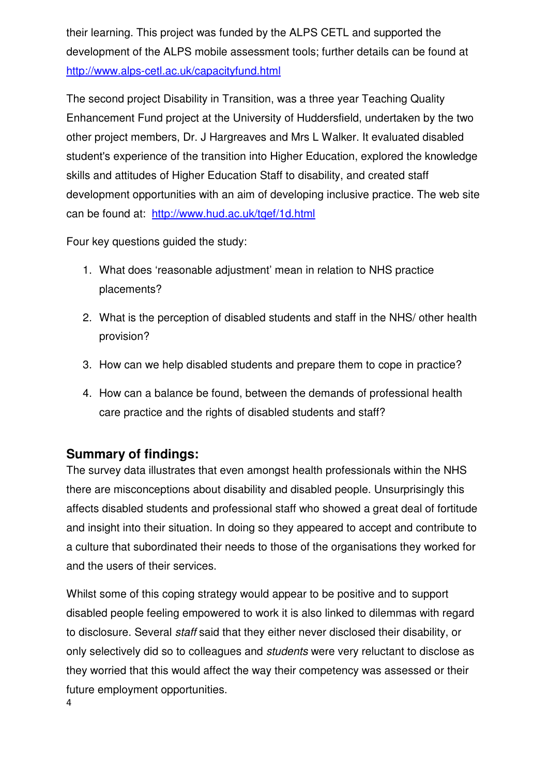their learning. This project was funded by the ALPS CETL and supported the development of the ALPS mobile assessment tools; further details can be found at http://www.alps-cetl.ac.uk/capacityfund.html

The second project Disability in Transition, was a three year Teaching Quality Enhancement Fund project at the University of Huddersfield, undertaken by the two other project members, Dr. J Hargreaves and Mrs L Walker. It evaluated disabled student's experience of the transition into Higher Education, explored the knowledge skills and attitudes of Higher Education Staff to disability, and created staff development opportunities with an aim of developing inclusive practice. The web site can be found at: http://www.hud.ac.uk/tqef/1d.html

Four key questions guided the study:

- 1. What does 'reasonable adjustment' mean in relation to NHS practice placements?
- 2. What is the perception of disabled students and staff in the NHS/ other health provision?
- 3. How can we help disabled students and prepare them to cope in practice?
- 4. How can a balance be found, between the demands of professional health care practice and the rights of disabled students and staff?

## **Summary of findings:**

The survey data illustrates that even amongst health professionals within the NHS there are misconceptions about disability and disabled people. Unsurprisingly this affects disabled students and professional staff who showed a great deal of fortitude and insight into their situation. In doing so they appeared to accept and contribute to a culture that subordinated their needs to those of the organisations they worked for and the users of their services.

Whilst some of this coping strategy would appear to be positive and to support disabled people feeling empowered to work it is also linked to dilemmas with regard to disclosure. Several staff said that they either never disclosed their disability, or only selectively did so to colleagues and students were very reluctant to disclose as they worried that this would affect the way their competency was assessed or their future employment opportunities.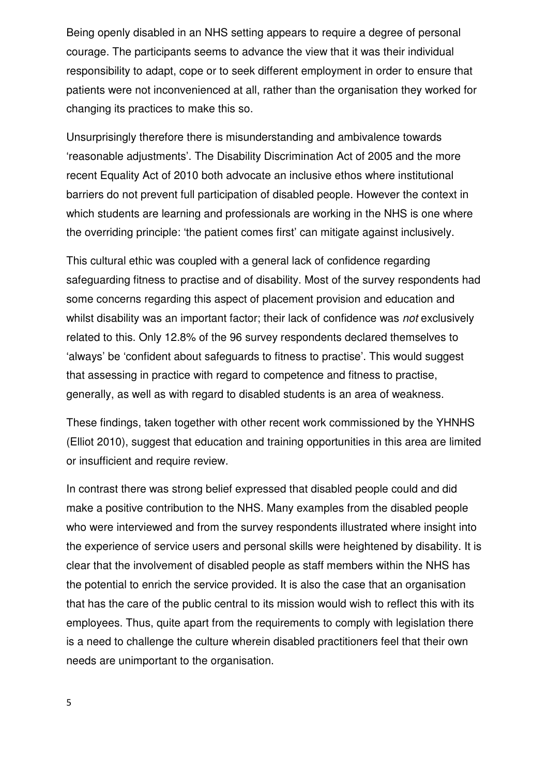Being openly disabled in an NHS setting appears to require a degree of personal courage. The participants seems to advance the view that it was their individual responsibility to adapt, cope or to seek different employment in order to ensure that patients were not inconvenienced at all, rather than the organisation they worked for changing its practices to make this so.

Unsurprisingly therefore there is misunderstanding and ambivalence towards 'reasonable adjustments'. The Disability Discrimination Act of 2005 and the more recent Equality Act of 2010 both advocate an inclusive ethos where institutional barriers do not prevent full participation of disabled people. However the context in which students are learning and professionals are working in the NHS is one where the overriding principle: 'the patient comes first' can mitigate against inclusively.

This cultural ethic was coupled with a general lack of confidence regarding safeguarding fitness to practise and of disability. Most of the survey respondents had some concerns regarding this aspect of placement provision and education and whilst disability was an important factor; their lack of confidence was *not* exclusively related to this. Only 12.8% of the 96 survey respondents declared themselves to 'always' be 'confident about safeguards to fitness to practise'. This would suggest that assessing in practice with regard to competence and fitness to practise, generally, as well as with regard to disabled students is an area of weakness.

These findings, taken together with other recent work commissioned by the YHNHS (Elliot 2010), suggest that education and training opportunities in this area are limited or insufficient and require review.

In contrast there was strong belief expressed that disabled people could and did make a positive contribution to the NHS. Many examples from the disabled people who were interviewed and from the survey respondents illustrated where insight into the experience of service users and personal skills were heightened by disability. It is clear that the involvement of disabled people as staff members within the NHS has the potential to enrich the service provided. It is also the case that an organisation that has the care of the public central to its mission would wish to reflect this with its employees. Thus, quite apart from the requirements to comply with legislation there is a need to challenge the culture wherein disabled practitioners feel that their own needs are unimportant to the organisation.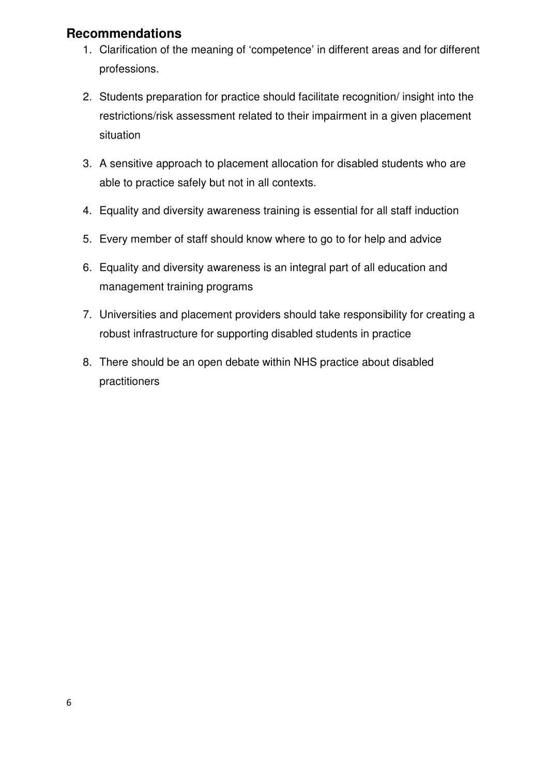## **Recommendations**

- 1. Clarification of the meaning of 'competence' in different areas and for different professions.
- 2. Students preparation for practice should facilitate recognition/ insight into the restrictions/risk assessment related to their impairment in a given placement situation
- 3. A sensitive approach to placement allocation for disabled students who are able to practice safely but not in all contexts.
- 4. Equality and diversity awareness training is essential for all staff induction
- 5. Every member of staff should know where to go to for help and advice
- 6. Equality and diversity awareness is an integral part of all education and management training programs
- 7. Universities and placement providers should take responsibility for creating a robust infrastructure for supporting disabled students in practice
- 8. There should be an open debate within NHS practice about disabled practitioners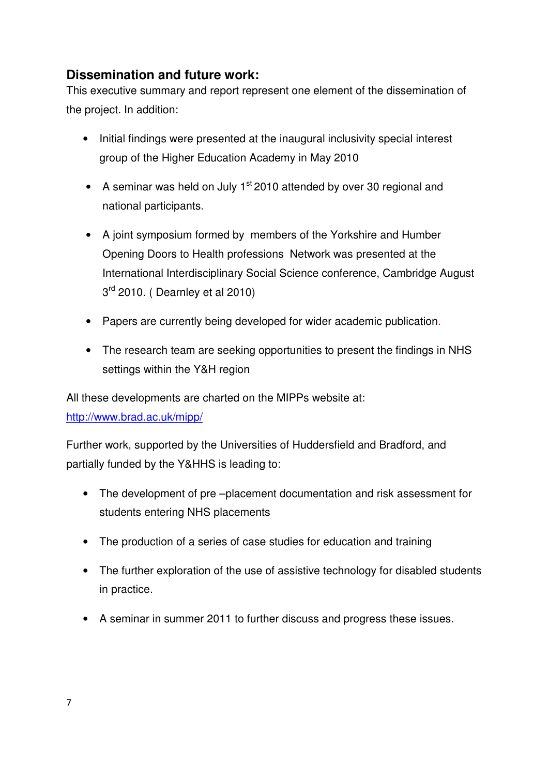## **Dissemination and future work:**

This executive summary and report represent one element of the dissemination of the project. In addition:

- Initial findings were presented at the inaugural inclusivity special interest group of the Higher Education Academy in May 2010
- A seminar was held on July  $1<sup>st</sup>$  2010 attended by over 30 regional and national participants.
- A joint symposium formed by members of the Yorkshire and Humber Opening Doors to Health professions Network was presented at the International Interdisciplinary Social Science conference, Cambridge August 3<sup>rd</sup> 2010. (Dearnley et al 2010)
- Papers are currently being developed for wider academic publication.
- The research team are seeking opportunities to present the findings in NHS settings within the Y&H region

All these developments are charted on the MIPPs website at:

http://www.brad.ac.uk/mipp/

Further work, supported by the Universities of Huddersfield and Bradford, and partially funded by the Y&HHS is leading to:

- The development of pre –placement documentation and risk assessment for students entering NHS placements
- The production of a series of case studies for education and training
- The further exploration of the use of assistive technology for disabled students in practice.
- A seminar in summer 2011 to further discuss and progress these issues.